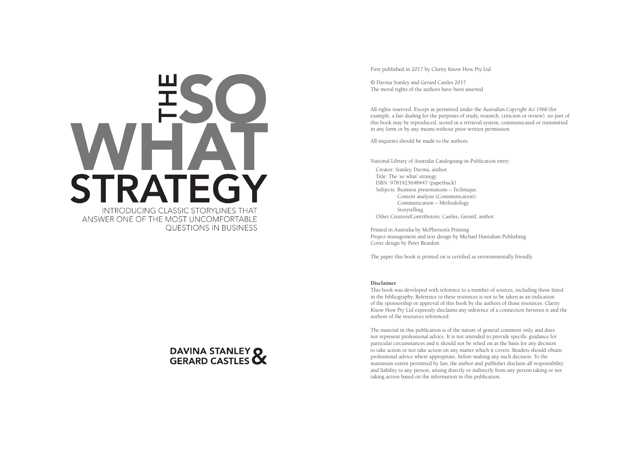



First published in 2017 by Clarity Know How Pty Ltd

© Davina Stanley and Gerard Castles 2017 The moral rights of the authors have been asserted

All rights reserved. Except as permitted under the *Australian Copyright Act 1968* (for example, a fair dealing for the purposes of study, research, criticism or review), no part of this book may be reproduced, stored in a retrieval system, communicated or transmitted in any form or by any means without prior written permission.

All inquiries should be made to the authors.

National Library of Australia Cataloguing-in-Publication entry: Creator: Stanley, Davina, author. Title: The 'so what' strategy. ISBN: 9781925648447 (paperback) Subjects: Business presentations – Technique. Content analysis (Communication). Communication – Methodology. Storytelling. Other Creators/Contributors: Castles, Gerard, author.

Printed in Australia by McPherson's Printing Project management and text design by Michael Hanrahan Publishing Cover design by Peter Reardon

The paper this book is printed on is certified as environmentally friendly.

#### **Disclaimer**

This book was developed with reference to a number of sources, including those listed in the bibliography. Reference to these resources is not to be taken as an indication of the sponsorship or approval of this book by the authors of those resources. Clarity Know How Pty Ltd expressly disclaims any inference of a connection between it and the authors of the resources referenced.

The material in this publication is of the nature of general comment only, and does not represent professional advice. It is not intended to provide specific guidance for particular circumstances and it should not be relied on as the basis for any decision to take action or not take action on any matter which it covers. Readers should obtain professional advice where appropriate, before making any such decision. To the maximum extent permitted by law, the author and publisher disclaim all responsibility and liability to any person, arising directly or indirectly from any person taking or not taking action based on the information in this publication.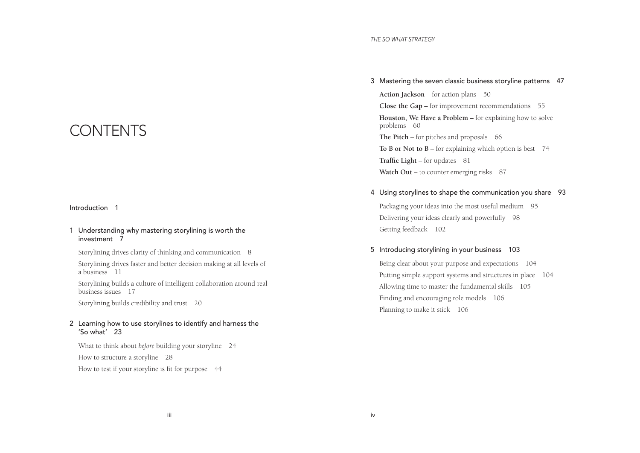#### *THE SO WHAT STRATEGY*

## CONTENTS

### Introduction 1

### 1 Understanding why mastering storylining is worth the investment 7

Storylining drives clarity of thinking and communication 8

Storylining drives faster and better decision making at all levels of a business 11

Storylining builds a culture of intelligent collaboration around real business issues 17

Storylining builds credibility and trust 20

## 2 Learning how to use storylines to identify and harness the 'So what' 23

What to think about *before* building your storyline 24 How to structure a storyline 28 How to test if your storyline is fit for purpose 44

3 Mastering the seven classic business storyline patterns 47 **Action Jackson** – for action plans 50 **Close the Gap** – for improvement recommendations 55 **Houston, We Have a Problem** – for explaining how to solve problems 60 The Pitch – for pitches and proposals 66 **To B or Not to B** – for explaining which option is best 74

**Traffic Light** – for updates 81 Watch Out – to counter emerging risks 87

## 4 Using storylines to shape the communication you share 93

Packaging your ideas into the most useful medium 95 Delivering your ideas clearly and powerfully 98 Getting feedback 102

## 5 Introducing storylining in your business 103

Being clear about your purpose and expectations 104 Putting simple support systems and structures in place 104 Allowing time to master the fundamental skills 105 Finding and encouraging role models 106 Planning to make it stick 106

iii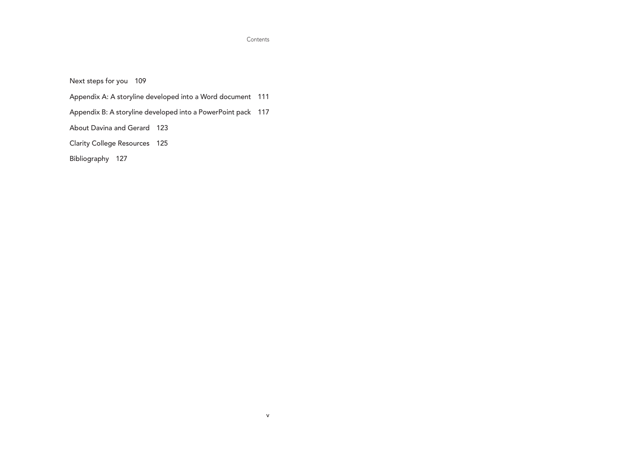#### Contents

v

Next steps for you 109

Appendix A: A storyline developed into a Word document 111

Appendix B: A storyline developed into a PowerPoint pack 117

About Davina and Gerard 123

Clarity College Resources 125

Bibliography 127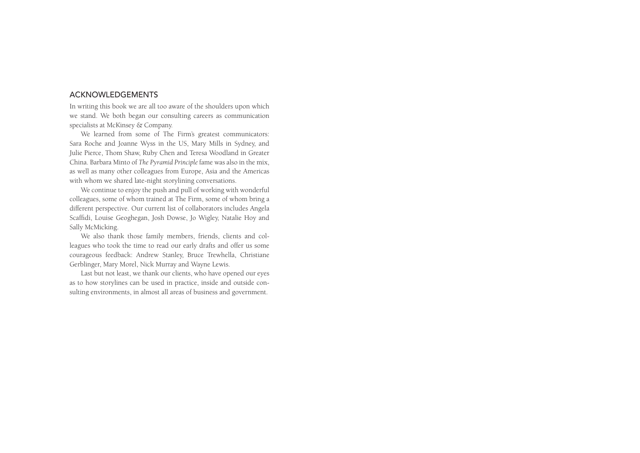## ACKNOWLEDGEMENTS

In writing this book we are all too aware of the shoulders upon which we stand. We both began our consulting careers as communication specialists at McKinsey & Company.

We learned from some of The Firm's greatest communicators: Sara Roche and Joanne Wyss in the US, Mary Mills in Sydney, and Julie Pierce, Thom Shaw, Ruby Chen and Teresa Woodland in Greater China. Barbara Minto of *The Pyramid Principle* fame was also in the mix, as well as many other colleagues from Europe, Asia and the Americas with whom we shared late-night storylining conversations.

We continue to enjoy the push and pull of working with wonderful colleagues, some of whom trained at The Firm, some of whom bring a different perspective. Our current list of collaborators includes Angela Scaffidi, Louise Geoghegan, Josh Dowse, Jo Wigley, Natalie Hoy and Sally McMicking.

We also thank those family members, friends, clients and colleagues who took the time to read our early drafts and offer us some courageous feedback: Andrew Stanley, Bruce Trewhella, Christiane Gerblinger, Mary Morel, Nick Murray and Wayne Lewis.

Last but not least, we thank our clients, who have opened our eyes as to how storylines can be used in practice, inside and outside consulting environments, in almost all areas of business and government.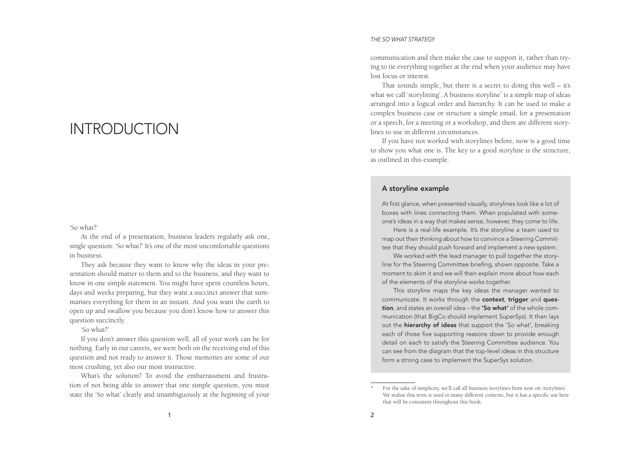## **INTRODUCTION**

#### 'So what?'

At the end of a presentation, business leaders regularly ask one, single question: 'So what?' It's one of the most uncomfortable questions in business.

They ask because they want to know why the ideas in your presentation should matter to them and to the business, and they want to know in one simple statement. You might have spent countless hours, days and weeks preparing, but they want a succinct answer that summarises everything for them in an instant. And you want the earth to open up and swallow you because you don't know how to answer this question succinctly.

'So what?'

If you don't answer this question well, all of your work can be for nothing. Early in our careers, we were both on the receiving end of this question and not ready to answer it. Those memories are some of our most crushing, yet also our most instructive.

What's the solution? To avoid the embarrassment and frustration of not being able to answer that one simple question, you must state the 'So what' clearly and unambiguously at the *beginning* of your

#### *THE SO WHAT STRATEGY*

communication and then make the case to support it, rather than trying to tie everything together at the end when your audience may have lost focus or interest.

That sounds simple, but there is a secret to doing this well – it's what we call 'storylining'. A business storyline\* is a simple map of ideas arranged into a logical order and hierarchy. It can be used to make a complex business case or structure a simple email, for a presentation or a speech, for a meeting or a workshop, and there are different storylines to use in different circumstances.

If you have not worked with storylines before, now is a good time to show you what one is. The key to a good storyline is the structure, as outlined in this example.

#### A storyline example

At first glance, when presented visually, storylines look like a lot of boxes with lines connecting them. When populated with someone's ideas in a way that makes sense, however, they come to life.

Here is a real-life example. It's the storyline a team used to map out their thinking about how to convince a Steering Committee that they should push forward and implement a new system.

We worked with the lead manager to pull together the storyline for the Steering Committee briefng, shown opposite. Take a moment to skim it and we will then explain more about how each of the elements of the storyline works together.

This storyline maps the key ideas the manager wanted to communicate. It works through the context, trigger and question, and states an overall idea - the 'So what' of the whole communication (that BigCo should implement SuperSys). It then lays out the hierarchy of ideas that support the 'So what', breaking each of those five supporting reasons down to provide enough detail on each to satisfy the Steering Committee audience. You can see from the diagram that the top-level ideas in this structure form a strong case to implement the SuperSys solution.

For the sake of simplicity, we'll call all business storylines from now on 'storylines'. We realise this term is used in many different contexts, but it has a specific use here that will be consistent throughout this book.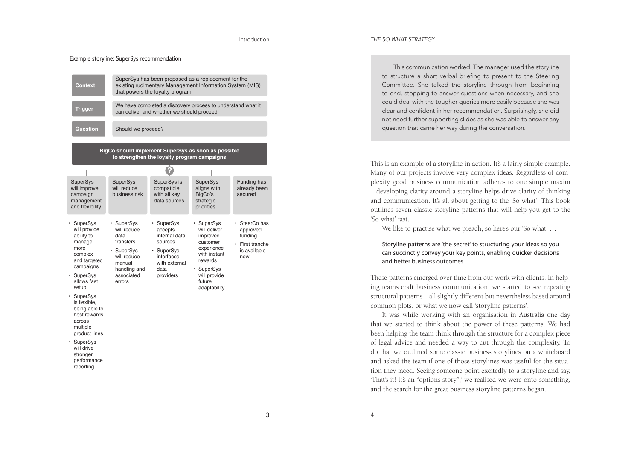Example storyline: SuperSys recommendation

| Context                                                                                                                                                                                                                                                                                                            | SuperSys has been proposed as a replacement for the<br>existing rudimentary Management Information System (MIS)<br>that powers the loyalty program |                                                                                                                     |                                                                                                                                                   |                                                                                |
|--------------------------------------------------------------------------------------------------------------------------------------------------------------------------------------------------------------------------------------------------------------------------------------------------------------------|----------------------------------------------------------------------------------------------------------------------------------------------------|---------------------------------------------------------------------------------------------------------------------|---------------------------------------------------------------------------------------------------------------------------------------------------|--------------------------------------------------------------------------------|
| <b>Trigger</b>                                                                                                                                                                                                                                                                                                     | We have completed a discovery process to understand what it<br>can deliver and whether we should proceed                                           |                                                                                                                     |                                                                                                                                                   |                                                                                |
| Question                                                                                                                                                                                                                                                                                                           | Should we proceed?                                                                                                                                 |                                                                                                                     |                                                                                                                                                   |                                                                                |
| BigCo should implement SuperSys as soon as possible<br>to strengthen the loyalty program campaigns                                                                                                                                                                                                                 |                                                                                                                                                    |                                                                                                                     |                                                                                                                                                   |                                                                                |
|                                                                                                                                                                                                                                                                                                                    |                                                                                                                                                    |                                                                                                                     |                                                                                                                                                   |                                                                                |
| <b>SuperSys</b><br>will improve<br>campaign<br>management<br>and flexibility                                                                                                                                                                                                                                       | <b>SuperSys</b><br>will reduce<br>business risk                                                                                                    | SuperSys is<br>compatible<br>with all kev<br>data sources                                                           | <b>SuperSys</b><br>aligns with<br>BigCo's<br>strategic<br>priorities                                                                              | Funding has<br>already been<br>secured                                         |
| • SuperSys<br>will provide<br>ability to<br>manage<br>more<br>complex<br>and targeted<br>campaigns<br>• SuperSys<br>allows fast<br>setup<br>• SuperSys<br>is flexible,<br>being able to<br>host rewards<br>across<br>multiple<br>product lines<br>• SuperSys<br>will drive<br>stronger<br>performance<br>reporting | • SuperSys<br>will reduce<br>data<br>transfers<br>• SuperSys<br>will reduce<br>manual<br>handling and<br>associated<br>errors                      | • SuperSys<br>accepts<br>internal data<br>sources<br>• SuperSys<br>interfaces<br>with external<br>data<br>providers | SuperSys<br>will deliver<br>improved<br>customer<br>experience<br>with instant<br>rewards<br>• SuperSys<br>will provide<br>future<br>adaptability | • SteerCo has<br>approved<br>funding<br>• First tranche<br>is available<br>now |

#### *THE SO WHAT STRATEGY*

This communication worked. The manager used the storyline to structure a short verbal briefing to present to the Steering Committee. She talked the storyline through from beginning to end, stopping to answer questions when necessary, and she could deal with the tougher queries more easily because she was clear and confdent in her recommendation. Surprisingly, she did not need further supporting slides as she was able to answer any question that came her way during the conversation.

This is an example of a storyline in action. It's a fairly simple example. Many of our projects involve very complex ideas. Regardless of complexity good business communication adheres to one simple maxim – developing clarity around a storyline helps drive clarity of thinking and communication. It's all about getting to the 'So what'. This book outlines seven classic storyline patterns that will help you get to the 'So what' fast.

We like to practise what we preach, so here's our 'So what' …

#### Storyline patterns are 'the secret' to structuring your ideas so you can succinctly convey your key points, enabling quicker decisions and better business outcomes.

These patterns emerged over time from our work with clients. In helping teams craft business communication, we started to see repeating structural patterns – all slightly different but nevertheless based around common plots, or what we now call 'storyline patterns'.

It was while working with an organisation in Australia one day that we started to think about the power of these patterns. We had been helping the team think through the structure for a complex piece of legal advice and needed a way to cut through the complexity. To do that we outlined some classic business storylines on a whiteboard and asked the team if one of those storylines was useful for the situation they faced. Seeing someone point excitedly to a storyline and say, 'That's it! It's an "options story",' we realised we were onto something, and the search for the great business storyline patterns began.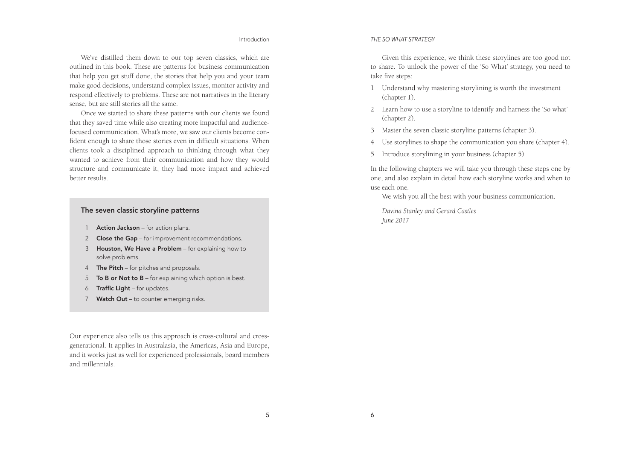#### Introduction

We've distilled them down to our top seven classics, which are outlined in this book. These are patterns for business communication that help you get stuff done, the stories that help you and your team make good decisions, understand complex issues, monitor activity and respond effectively to problems. These are not narratives in the literary sense, but are still stories all the same.

Once we started to share these patterns with our clients we found that they saved time while also creating more impactful and audiencefocused communication. What's more, we saw our clients become confident enough to share those stories even in difficult situations. When clients took a disciplined approach to thinking through what they wanted to achieve from their communication and how they would structure and communicate it, they had more impact and achieved better results.

## The seven classic storyline patterns

- 1 **Action Jackson** for action plans.
- 2 Close the Gap for improvement recommendations.
- 3 Houston, We Have a Problem for explaining how to solve problems.
- 4 The Pitch for pitches and proposals.
- 5 To B or Not to B for explaining which option is best.
- $6$  Traffic Light for updates.
- 7 Watch Out to counter emerging risks.

Our experience also tells us this approach is cross-cultural and crossgenerational. It applies in Australasia, the Americas, Asia and Europe, and it works just as well for experienced professionals, board members and millennials.

#### *THE SO WHAT STRATEGY*

Given this experience, we think these storylines are too good not to share. To unlock the power of the 'So What' strategy, you need to take five steps:

- 1 Understand why mastering storylining is worth the investment (chapter 1).
- 2 Learn how to use a storyline to identify and harness the 'So what' (chapter 2).
- 3 Master the seven classic storyline patterns (chapter 3).
- 4 Use storylines to shape the communication you share (chapter 4).
- 5 Introduce storylining in your business (chapter 5).

In the following chapters we will take you through these steps one by one, and also explain in detail how each storyline works and when to use each one.

We wish you all the best with your business communication.

*Davina Stanley and Gerard Castles June 2017*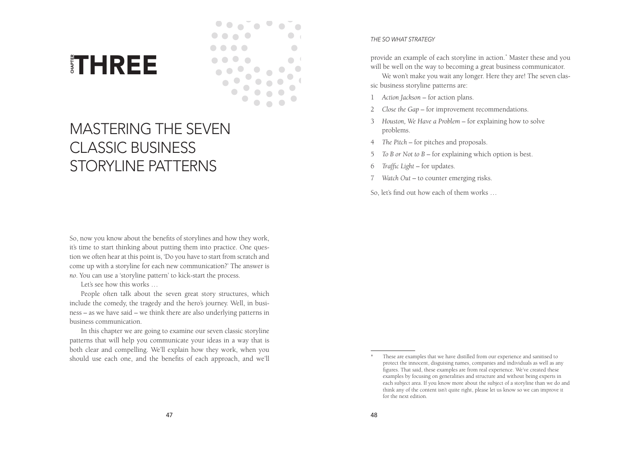



# MASTERING THE SEVEN CLASSIC BUSINESS STORYLINE PATTERNS

So, now you know about the benefits of storylines and how they work, it's time to start thinking about putting them into practice. One question we often hear at this point is, 'Do you have to start from scratch and come up with a storyline for each new communication?' The answer is *no*. You can use a 'storyline pattern' to kick-start the process. Solutionary and the benefits of each one, and the benefits of each approach, and we'll controlled use the benefits of statement and how they work, its time to start this points and bout putting them into practice. One ques

Let's see how this works …

People often talk about the seven great story structures, which include the comedy, the tragedy and the hero's journey. Well, in business – as we have said – we think there are also underlying patterns in business communication.

In this chapter we are going to examine our seven classic storyline patterns that will help you communicate your ideas in a way that is both clear and compelling. We'll explain how they work, when you

#### *THE SO WHAT STRATEGY*

provide an example of each storyline in action.\* Master these and you will be well on the way to becoming a great business communicator.

We won't make you wait any longer. Here they are! The seven classic business storyline patterns are:

- 1 *Action Jackson* for action plans.
- 2 *Close the Gap* for improvement recommendations.
- 3 *Houston, We Have a Problem*  for explaining how to solve problems.
- 4 *The Pitch*  for pitches and proposals.
- 5 *To B or Not to B* for explaining which option is best.
- 6 *Traffic Light* for updates.
- 7 *Watch Out* to counter emerging risks.

So, let's find out how each of them works …

These are examples that we have distilled from our experience and sanitised to protect the innocent, disguising names, companies and individuals as well as any figures. That said, these examples are from real experience. We've created these examples by focusing on generalities and structure and without being experts in each subject area. If you know more about the subject of a storyline than we do and think any of the content isn't quite right, please let us know so we can improve it for the next edition.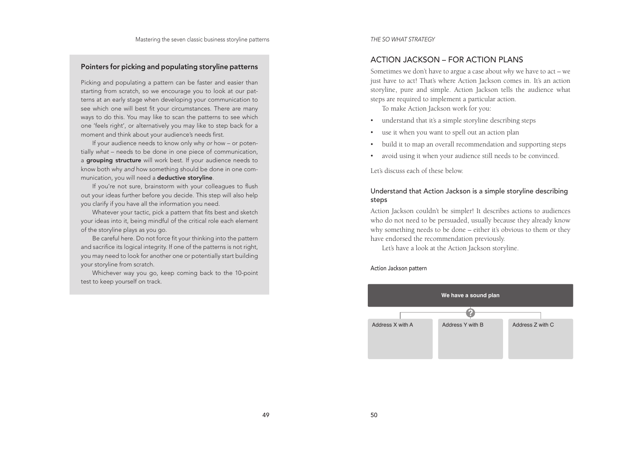## Pointers for picking and populating storyline patterns

Picking and populating a pattern can be faster and easier than starting from scratch, so we encourage you to look at our patterns at an early stage when developing your communication to see which one will best fit your circumstances. There are many ways to do this. You may like to scan the patterns to see which one 'feels right', or alternatively you may like to step back for a moment and think about your audience's needs first.

If your audience needs to know only why or how – or potentially what – needs to be done in one piece of communication, a grouping structure will work best. If your audience needs to know both why and how something should be done in one communication, you will need a deductive storyline.

If you're not sure, brainstorm with your colleagues to fush out your ideas further before you decide. This step will also help you clarify if you have all the information you need.

Whatever your tactic, pick a pattern that fits best and sketch your ideas into it, being mindful of the critical role each element of the storyline plays as you go.

Be careful here. Do not force fit your thinking into the pattern and sacrifice its logical integrity. If one of the patterns is not right, you may need to look for another one or potentially start building your storyline from scratch.

Whichever way you go, keep coming back to the 10-point test to keep yourself on track.

*THE SO WHAT STRATEGY*

## ACTION JACKSON – FOR ACTION PLANS

Sometimes we don't have to argue a case about *why* we have to act – we just have to act! That's where Action Jackson comes in. It's an action storyline, pure and simple. Action Jackson tells the audience what steps are required to implement a particular action.

To make Action Jackson work for you:

- understand that it's a simple storyline describing steps
- use it when you want to spell out an action plan
- build it to map an overall recommendation and supporting steps
- avoid using it when your audience still needs to be convinced.

Let's discuss each of these below.

## Understand that Action Jackson is a simple storyline describing steps

Action Jackson couldn't be simpler! It describes actions to audiences who do not need to be persuaded, usually because they already know why something needs to be done – either it's obvious to them or they have endorsed the recommendation previously.

Let's have a look at the Action Jackson storyline.

#### Action Jackson pattern

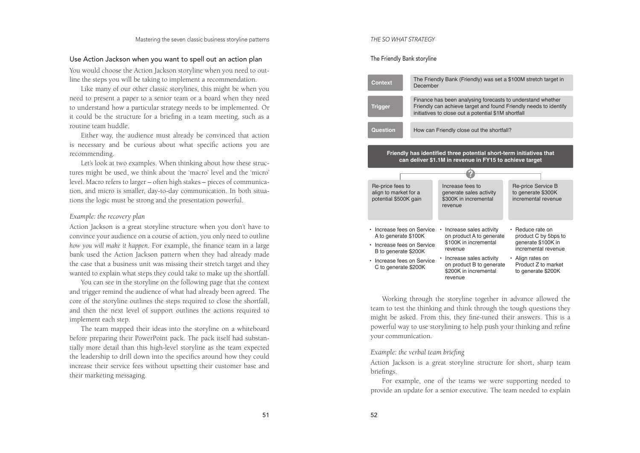## Use Action Jackson when you want to spell out an action plan

You would choose the Action Jackson storyline when you need to out line the steps you will be taking to implement a recommendation.

Like many of our other classic storylines, this might be when you need to present a paper to a senior team or a board when they need to understand how a particular strategy needs to be implemented. Or it could be the structure for a briefing in a team meeting, such as a routine team huddle.

Either way, the audience must already be convinced that action is necessary and be curious about what specific actions you are recommending.

Let's look at two examples. When thinking about how these struc tures might be used, we think about the 'macro' level and the 'micro' level. Macro refers to larger – often high stakes – pieces of communica tion, and micro is smaller, day-to-day communication. In both situa tions the logic must be strong and the presentation powerful.

#### *Example: the recovery plan*

Action Jackson is a great storyline structure when you don't have to convince your audience on a course of action, you only need to outline *how you will make it happen*. For example, the finance team in a large bank used the Action Jackson pattern when they had already made the case that a business unit was missing their stretch target and they wanted to explain what steps they could take to make up the shortfall.

You can see in the storyline on the following page that the context and trigger remind the audience of what had already been agreed. The core of the storyline outlines the steps required to close the shortfall, and then the next level of support outlines the actions required to implement each step.

The team mapped their ideas into the storyline on a whiteboard before preparing their PowerPoint pack. The pack itself had substan tially more detail than this high-level storyline as the team expected the leadership to drill down into the specifics around how they could increase their service fees without upsetting their customer base and their marketing messaging.

#### *THE SO WHAT STRATEGY*

The Friendly Bank storyline



Working through the storyline together in advance allowed the team to test the thinking and think through the tough questions they might be asked. From this, they fine-tuned their answers. This is a powerful way to use storylining to help push your thinking and refine your communication.

### *Example: the verbal team briefing*

Action Jackson is a great storyline structure for short, sharp team briefings.

For example, one of the teams we were supporting needed to provide an update for a senior executive. The team needed to explain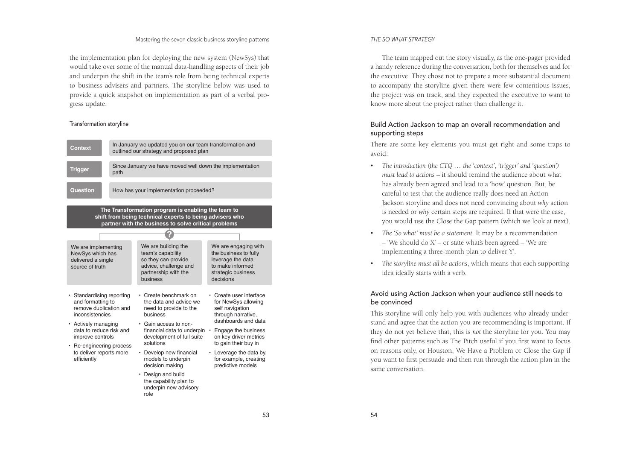#### Mastering the seven classic business storyline patterns

the implementation plan for deploying the new system (NewSys) that would take over some of the manual data-handling aspects of their job and underpin the shift in the team's role from being technical experts to business advisers and partners. The storyline below was used to provide a quick snapshot on implementation as part of a verbal progress update.

#### Transformation storyline



#### *THE SO WHAT STRATEGY*

The team mapped out the story visually, as the one-pager provided a handy reference during the conversation, both for themselves and for the executive. They chose not to prepare a more substantial document to accompany the storyline given there were few contentious issues, the project was on track, and they expected the executive to want to know more about the project rather than challenge it.

## Build Action Jackson to map an overall recommendation and supporting steps

There are some key elements you must get right and some traps to avoid:

- *The introduction (the CTQ … the 'context', 'trigger' and 'question') must lead to actions* – it should remind the audience about what has already been agreed and lead to a 'how' question. But, be careful to test that the audience really does need an Action Jackson storyline and does not need convincing about *why* action is needed or *why* certain steps are required. If that were the case, you would use the Close the Gap pattern (which we look at next).
- *The 'So what' must be a statement.* It may be a recommendation – 'We should do  $X'$  – or state what's been agreed – 'We are implementing a three-month plan to deliver Y'.
- *The storyline must all be actions*, which means that each supporting idea ideally starts with a verb.

## Avoid using Action Jackson when your audience still needs to be convinced

This storyline will only help you with audiences who already understand and agree that the action you are recommending is important. If they do not yet believe that, this is *not* the storyline for you. You may find other patterns such as The Pitch useful if you first want to focus on reasons only, or Houston, We Have a Problem or Close the Gap if you want to first persuade and then run through the action plan in the same conversation.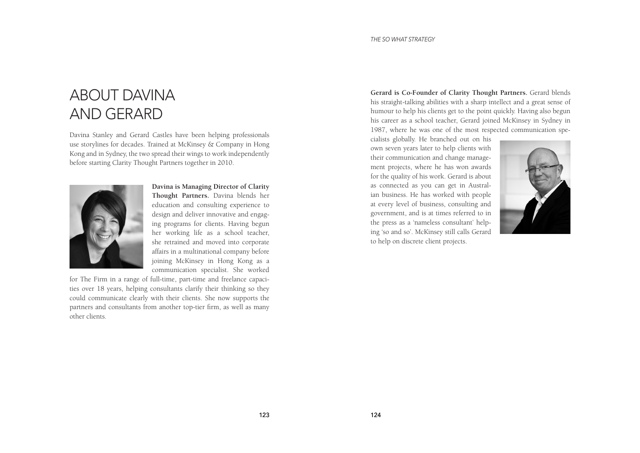## ABOUT DAVINA AND GERARD

Davina Stanley and Gerard Castles have been helping professionals use storylines for decades. Trained at McKinsey & Company in Hong Kong and in Sydney, the two spread their wings to work independently before starting Clarity Thought Partners together in 2010.



**Davina is Managing Director of Clarity Thought Partners.** Davina blends her education and consulting experience to design and deliver innovative and engaging programs for clients. Having begun her working life as a school teacher, she retrained and moved into corporate affairs in a multinational company before joining McKinsey in Hong Kong as a communication specialist. She worked

for The Firm in a range of full-time, part-time and freelance capacities over 18 years, helping consultants clarify their thinking so they could communicate clearly with their clients. She now supports the partners and consultants from another top-tier firm, as well as many other clients.

**Gerard is Co-Founder of Clarity Thought Partners.** Gerard blends his straight-talking abilities with a sharp intellect and a great sense of humour to help his clients get to the point quickly. Having also begun his career as a school teacher, Gerard joined McKinsey in Sydney in 1987, where he was one of the most respected communication spe-

cialists globally. He branched out on his own seven years later to help clients with their communication and change management projects, where he has won awards for the quality of his work. Gerard is about as connected as you can get in Australian business. He has worked with people at every level of business, consulting and government, and is at times referred to in the press as a 'nameless consultant' helping 'so and so'. McKinsey still calls Gerard to help on discrete client projects.